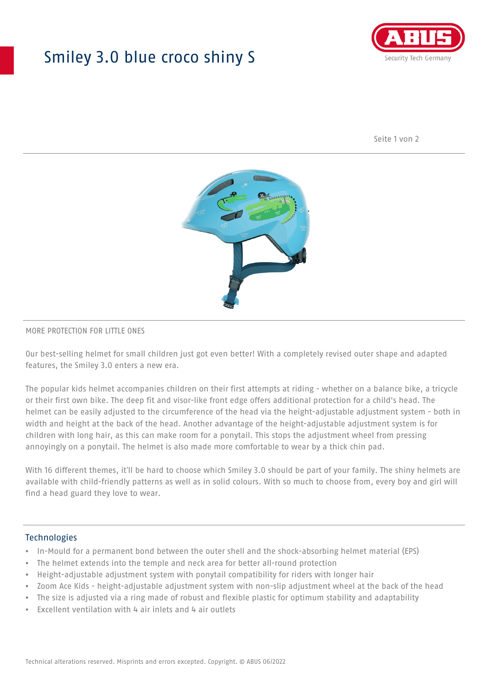## Smiley 3.0 blue croco shiny S



Seite 1 von 2



#### MORE PROTECTION FOR LITTLE ONES

Our best-selling helmet for small children just got even better! With a completely revised outer shape and adapted features, the Smiley 3.0 enters a new era.

The popular kids helmet accompanies children on their first attempts at riding - whether on a balance bike, a tricycle or their first own bike. The deep fit and visor-like front edge offers additional protection for a child's head. The helmet can be easily adjusted to the circumference of the head via the height-adjustable adjustment system - both in width and height at the back of the head. Another advantage of the height-adjustable adjustment system is for children with long hair, as this can make room for a ponytail. This stops the adjustment wheel from pressing annoyingly on a ponytail. The helmet is also made more comfortable to wear by a thick chin pad.

With 16 different themes, it'll be hard to choose which Smiley 3.0 should be part of your family. The shiny helmets are available with child-friendly patterns as well as in solid colours. With so much to choose from, every boy and girl will find a head guard they love to wear.

#### Technologies

- In-Mould for a permanent bond between the outer shell and the shock-absorbing helmet material (EPS)
- The helmet extends into the temple and neck area for better all-round protection
- Height-adjustable adjustment system with ponytail compatibility for riders with longer hair
- Zoom Ace Kids height-adjustable adjustment system with non-slip adjustment wheel at the back of the head
- The size is adjusted via a ring made of robust and flexible plastic for optimum stability and adaptability
- Excellent ventilation with 4 air inlets and 4 air outlets